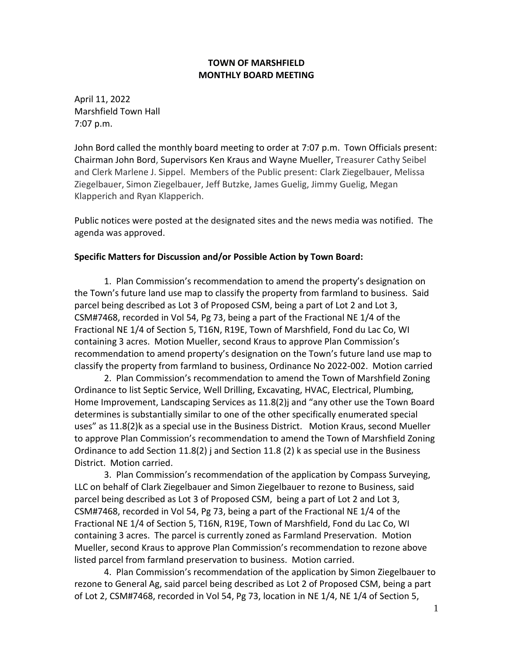### **TOWN OF MARSHFIELD MONTHLY BOARD MEETING**

April 11, 2022 Marshfield Town Hall 7:07 p.m.

John Bord called the monthly board meeting to order at 7:07 p.m. Town Officials present: Chairman John Bord, Supervisors Ken Kraus and Wayne Mueller, Treasurer Cathy Seibel and Clerk Marlene J. Sippel. Members of the Public present: Clark Ziegelbauer, Melissa Ziegelbauer, Simon Ziegelbauer, Jeff Butzke, James Guelig, Jimmy Guelig, Megan Klapperich and Ryan Klapperich.

Public notices were posted at the designated sites and the news media was notified. The agenda was approved.

## **Specific Matters for Discussion and/or Possible Action by Town Board:**

1. Plan Commission's recommendation to amend the property's designation on the Town's future land use map to classify the property from farmland to business. Said parcel being described as Lot 3 of Proposed CSM, being a part of Lot 2 and Lot 3, CSM#7468, recorded in Vol 54, Pg 73, being a part of the Fractional NE 1/4 of the Fractional NE 1/4 of Section 5, T16N, R19E, Town of Marshfield, Fond du Lac Co, WI containing 3 acres. Motion Mueller, second Kraus to approve Plan Commission's recommendation to amend property's designation on the Town's future land use map to classify the property from farmland to business, Ordinance No 2022-002. Motion carried

2. Plan Commission's recommendation to amend the Town of Marshfield Zoning Ordinance to list Septic Service, Well Drilling, Excavating, HVAC, Electrical, Plumbing, Home Improvement, Landscaping Services as 11.8(2)j and "any other use the Town Board determines is substantially similar to one of the other specifically enumerated special uses" as 11.8(2)k as a special use in the Business District. Motion Kraus, second Mueller to approve Plan Commission's recommendation to amend the Town of Marshfield Zoning Ordinance to add Section  $11.8(2)$  j and Section 11.8 (2) k as special use in the Business District. Motion carried.

3. Plan Commission's recommendation of the application by Compass Surveying, LLC on behalf of Clark Ziegelbauer and Simon Ziegelbauer to rezone to Business, said parcel being described as Lot 3 of Proposed CSM, being a part of Lot 2 and Lot 3, CSM#7468, recorded in Vol 54, Pg 73, being a part of the Fractional NE 1/4 of the Fractional NE 1/4 of Section 5, T16N, R19E, Town of Marshfield, Fond du Lac Co, WI containing 3 acres. The parcel is currently zoned as Farmland Preservation. Motion Mueller, second Kraus to approve Plan Commission's recommendation to rezone above listed parcel from farmland preservation to business. Motion carried.

4. Plan Commission's recommendation of the application by Simon Ziegelbauer to rezone to General Ag, said parcel being described as Lot 2 of Proposed CSM, being a part of Lot 2, CSM#7468, recorded in Vol 54, Pg 73, location in NE 1/4, NE 1/4 of Section 5,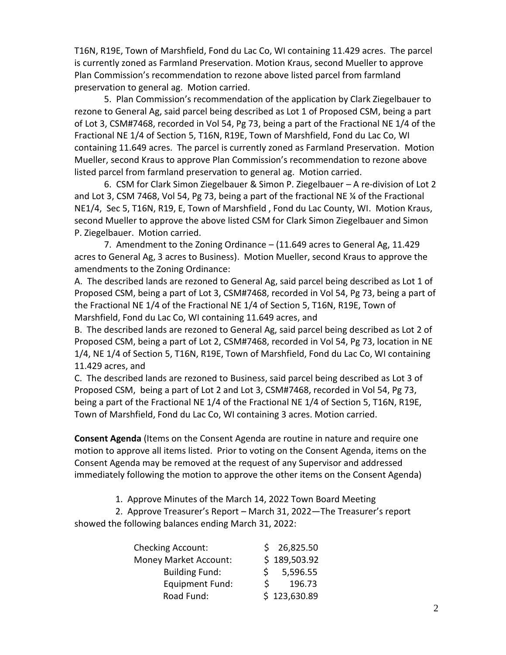T16N, R19E, Town of Marshfield, Fond du Lac Co, WI containing 11.429 acres. The parcel is currently zoned as Farmland Preservation. Motion Kraus, second Mueller to approve Plan Commission's recommendation to rezone above listed parcel from farmland preservation to general ag. Motion carried.

5. Plan Commission's recommendation of the application by Clark Ziegelbauer to rezone to General Ag, said parcel being described as Lot 1 of Proposed CSM, being a part of Lot 3, CSM#7468, recorded in Vol 54, Pg 73, being a part of the Fractional NE 1/4 of the Fractional NE 1/4 of Section 5, T16N, R19E, Town of Marshfield, Fond du Lac Co, WI containing 11.649 acres. The parcel is currently zoned as Farmland Preservation. Motion Mueller, second Kraus to approve Plan Commission's recommendation to rezone above listed parcel from farmland preservation to general ag. Motion carried.

6. CSM for Clark Simon Ziegelbauer & Simon P. Ziegelbauer – A re-division of Lot 2 and Lot 3, CSM 7468, Vol 54, Pg 73, being a part of the fractional NE ¼ of the Fractional NE1/4, Sec 5, T16N, R19, E, Town of Marshfield , Fond du Lac County, WI. Motion Kraus, second Mueller to approve the above listed CSM for Clark Simon Ziegelbauer and Simon P. Ziegelbauer. Motion carried.

7. Amendment to the Zoning Ordinance – (11.649 acres to General Ag, 11.429 acres to General Ag, 3 acres to Business). Motion Mueller, second Kraus to approve the amendments to the Zoning Ordinance:

A. The described lands are rezoned to General Ag, said parcel being described as Lot 1 of Proposed CSM, being a part of Lot 3, CSM#7468, recorded in Vol 54, Pg 73, being a part of the Fractional NE 1/4 of the Fractional NE 1/4 of Section 5, T16N, R19E, Town of Marshfield, Fond du Lac Co, WI containing 11.649 acres, and

B. The described lands are rezoned to General Ag, said parcel being described as Lot 2 of Proposed CSM, being a part of Lot 2, CSM#7468, recorded in Vol 54, Pg 73, location in NE 1/4, NE 1/4 of Section 5, T16N, R19E, Town of Marshfield, Fond du Lac Co, WI containing 11.429 acres, and

C. The described lands are rezoned to Business, said parcel being described as Lot 3 of Proposed CSM, being a part of Lot 2 and Lot 3, CSM#7468, recorded in Vol 54, Pg 73, being a part of the Fractional NE 1/4 of the Fractional NE 1/4 of Section 5, T16N, R19E, Town of Marshfield, Fond du Lac Co, WI containing 3 acres. Motion carried.

**Consent Agenda** (Items on the Consent Agenda are routine in nature and require one motion to approve all items listed. Prior to voting on the Consent Agenda, items on the Consent Agenda may be removed at the request of any Supervisor and addressed immediately following the motion to approve the other items on the Consent Agenda)

1. Approve Minutes of the March 14, 2022 Town Board Meeting

 2. Approve Treasurer's Report – March 31, 2022—The Treasurer's report showed the following balances ending March 31, 2022:

| <b>Checking Account:</b>     | \$26,825.50  |
|------------------------------|--------------|
| <b>Money Market Account:</b> | \$189,503.92 |
| <b>Building Fund:</b>        | 5,596.55     |
| Equipment Fund:              | 196.73       |
| Road Fund:                   | \$123,630.89 |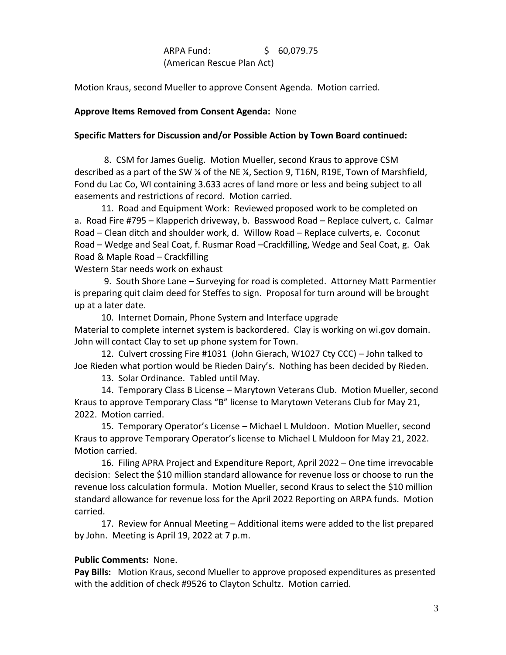# ARPA Fund: \$ 60,079.75 (American Rescue Plan Act)

Motion Kraus, second Mueller to approve Consent Agenda. Motion carried.

### **Approve Items Removed from Consent Agenda:** None

### **Specific Matters for Discussion and/or Possible Action by Town Board continued:**

8. CSM for James Guelig. Motion Mueller, second Kraus to approve CSM described as a part of the SW ¼ of the NE ¼, Section 9, T16N, R19E, Town of Marshfield, Fond du Lac Co, WI containing 3.633 acres of land more or less and being subject to all easements and restrictions of record. Motion carried.

 11. Road and Equipment Work: Reviewed proposed work to be completed on a. Road Fire #795 – Klapperich driveway, b. Basswood Road – Replace culvert, c. Calmar Road – Clean ditch and shoulder work, d. Willow Road – Replace culverts, e. Coconut Road – Wedge and Seal Coat, f. Rusmar Road –Crackfilling, Wedge and Seal Coat, g. Oak Road & Maple Road – Crackfilling

Western Star needs work on exhaust

9. South Shore Lane – Surveying for road is completed. Attorney Matt Parmentier is preparing quit claim deed for Steffes to sign. Proposal for turn around will be brought up at a later date.

 10. Internet Domain, Phone System and Interface upgrade Material to complete internet system is backordered. Clay is working on wi.gov domain. John will contact Clay to set up phone system for Town.

 12. Culvert crossing Fire #1031 (John Gierach, W1027 Cty CCC) – John talked to Joe Rieden what portion would be Rieden Dairy's. Nothing has been decided by Rieden.

13. Solar Ordinance. Tabled until May.

 14. Temporary Class B License – Marytown Veterans Club. Motion Mueller, second Kraus to approve Temporary Class "B" license to Marytown Veterans Club for May 21, 2022. Motion carried.

 15. Temporary Operator's License – Michael L Muldoon. Motion Mueller, second Kraus to approve Temporary Operator's license to Michael L Muldoon for May 21, 2022. Motion carried.

 16. Filing APRA Project and Expenditure Report, April 2022 – One time irrevocable decision: Select the \$10 million standard allowance for revenue loss or choose to run the revenue loss calculation formula. Motion Mueller, second Kraus to select the \$10 million standard allowance for revenue loss for the April 2022 Reporting on ARPA funds. Motion carried.

 17. Review for Annual Meeting – Additional items were added to the list prepared by John. Meeting is April 19, 2022 at 7 p.m.

### **Public Comments:** None.

**Pay Bills:** Motion Kraus, second Mueller to approve proposed expenditures as presented with the addition of check #9526 to Clayton Schultz. Motion carried.